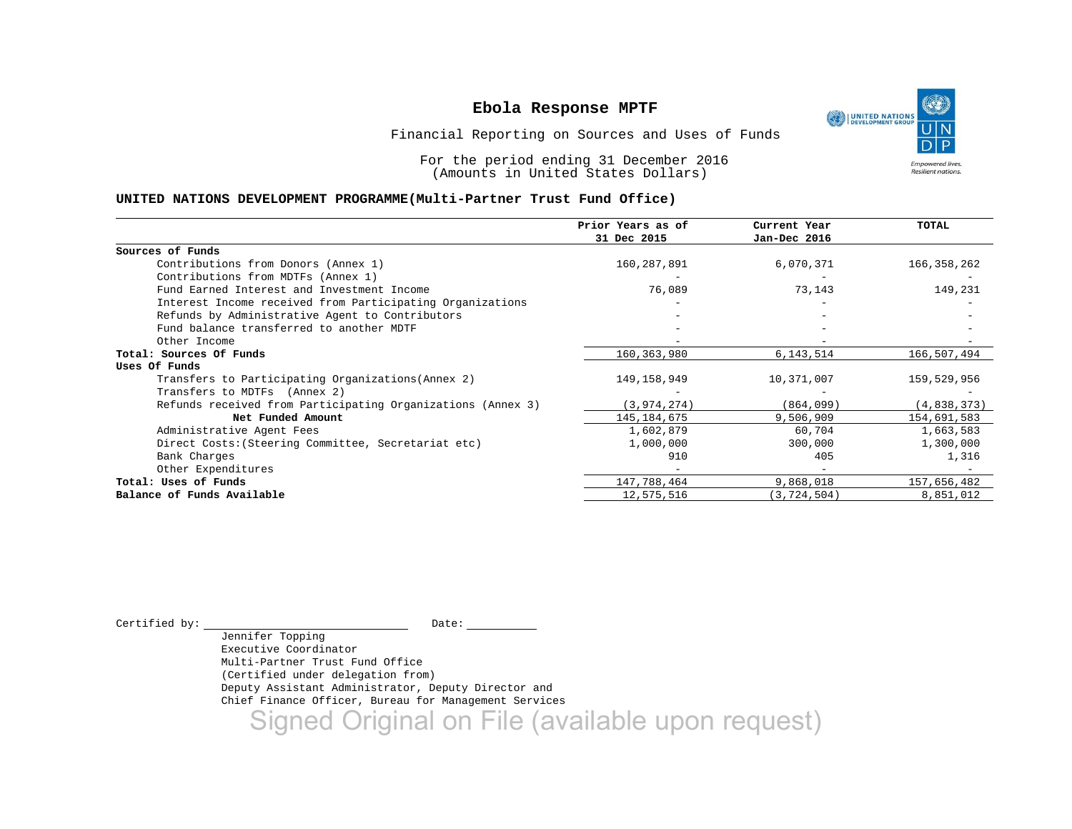

Financial Reporting on Sources and Uses of Funds

For the period ending 31 December 2016 (Amounts in United States Dollars)

#### **UNITED NATIONS DEVELOPMENT PROGRAMME(Multi-Partner Trust Fund Office)**

|                                                             | Prior Years as of | Current Year  | <b>TOTAL</b>  |
|-------------------------------------------------------------|-------------------|---------------|---------------|
|                                                             | 31 Dec 2015       | Jan-Dec 2016  |               |
| Sources of Funds                                            |                   |               |               |
| Contributions from Donors (Annex 1)                         | 160,287,891       | 6,070,371     | 166, 358, 262 |
| Contributions from MDTFs (Annex 1)                          |                   |               |               |
| Fund Earned Interest and Investment Income                  | 76,089            | 73,143        | 149,231       |
| Interest Income received from Participating Organizations   |                   |               |               |
| Refunds by Administrative Agent to Contributors             |                   |               |               |
| Fund balance transferred to another MDTF                    |                   |               |               |
| Other Income                                                |                   |               |               |
| Total: Sources Of Funds                                     | 160,363,980       | 6,143,514     | 166,507,494   |
| Uses Of Funds                                               |                   |               |               |
| Transfers to Participating Organizations (Annex 2)          | 149,158,949       | 10,371,007    | 159,529,956   |
| Transfers to MDTFs (Annex 2)                                |                   |               |               |
| Refunds received from Participating Organizations (Annex 3) | (3, 974, 274)     | (864,099)     | (4,838,373)   |
| Net Funded Amount                                           | 145, 184, 675     | 9,506,909     | 154,691,583   |
| Administrative Agent Fees                                   | 1,602,879         | 60,704        | 1,663,583     |
| Direct Costs: (Steering Committee, Secretariat etc)         | 1,000,000         | 300,000       | 1,300,000     |
| Bank Charges                                                | 910               | 405           | 1,316         |
| Other Expenditures                                          |                   |               |               |
| Total: Uses of Funds                                        | 147,788,464       | 9,868,018     | 157,656,482   |
| Balance of Funds Available                                  | 12,575,516        | (3, 724, 504) | 8,851,012     |

 $\begin{tabular}{ccccc} \multicolumn{2}{c|}{\texttt{Certified by:}} & \multicolumn{2}{c|}{\texttt{Date:}} & \multicolumn{2}{c|}{\texttt{Date:}} \end{tabular}$ 

Jennifer Topping Executive Coordinator Multi-Partner Trust Fund Office (Certified under delegation from) Deputy Assistant Administrator, Deputy Director and Chief Finance Officer, Bureau for Management Services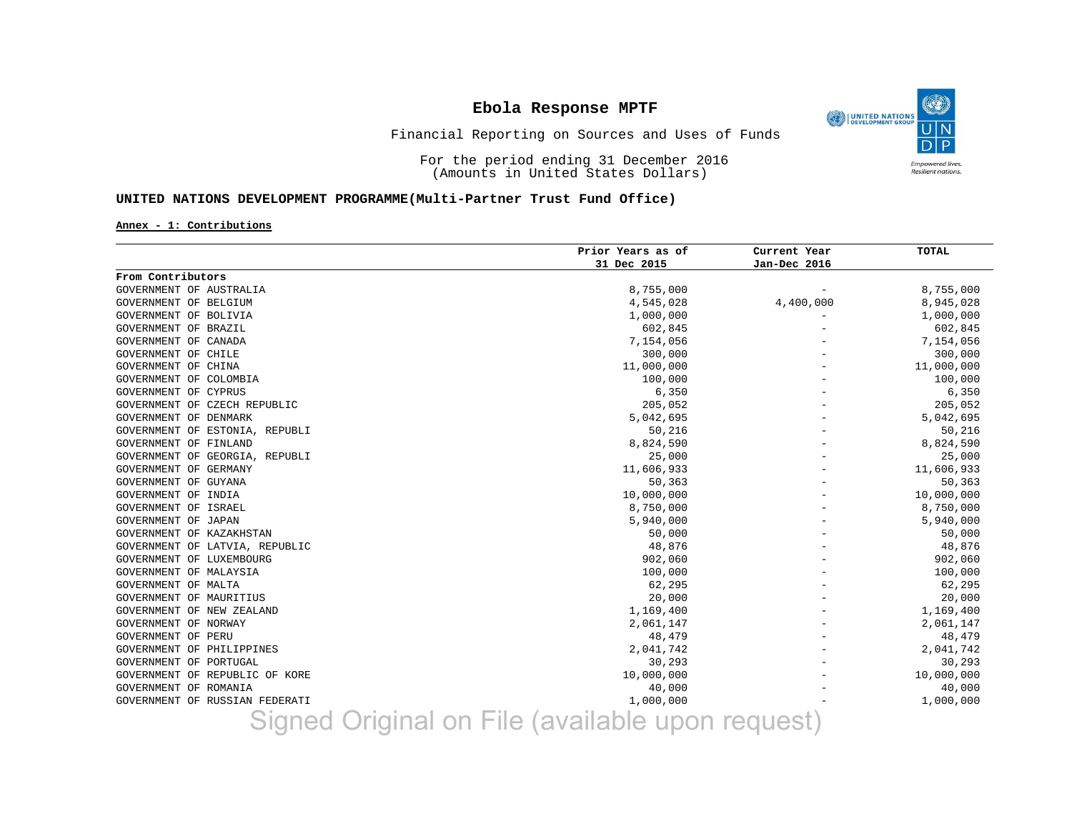۹ UNITED NATIONS **Empowered lives** Resilient nations.

### Financial Reporting on Sources and Uses of Funds

For the period ending 31 December 2016 (Amounts in United States Dollars)

### **UNITED NATIONS DEVELOPMENT PROGRAMME(Multi-Partner Trust Fund Office)**

#### **Annex - 1: Contributions**

|                                       | Prior Years as of | Current Year  | <b>TOTAL</b> |
|---------------------------------------|-------------------|---------------|--------------|
|                                       | 31 Dec 2015       | Jan-Dec 2016  |              |
| From Contributors                     |                   |               |              |
| GOVERNMENT OF AUSTRALIA               | 8,755,000         |               | 8,755,000    |
| GOVERNMENT OF BELGIUM                 | 4,545,028         | 4,400,000     | 8,945,028    |
| GOVERNMENT OF BOLIVIA                 | 1,000,000         |               | 1,000,000    |
| GOVERNMENT OF BRAZIL                  | 602,845           |               | 602,845      |
| GOVERNMENT OF CANADA                  | 7,154,056         |               | 7,154,056    |
| GOVERNMENT OF CHILE                   | 300,000           |               | 300,000      |
| GOVERNMENT OF CHINA                   | 11,000,000        |               | 11,000,000   |
| GOVERNMENT OF COLOMBIA                | 100,000           |               | 100,000      |
| GOVERNMENT OF CYPRUS                  | 6,350             |               | 6,350        |
| GOVERNMENT OF CZECH REPUBLIC          | 205,052           |               | 205,052      |
| GOVERNMENT OF DENMARK                 | 5,042,695         |               | 5,042,695    |
| GOVERNMENT OF ESTONIA, REPUBLI        | 50,216            |               | 50,216       |
| GOVERNMENT OF FINLAND                 | 8,824,590         |               | 8,824,590    |
| GOVERNMENT OF GEORGIA, REPUBLI        | 25,000            |               | 25,000       |
| GOVERNMENT OF GERMANY                 | 11,606,933        |               | 11,606,933   |
| GOVERNMENT OF GUYANA                  | 50,363            |               | 50,363       |
| GOVERNMENT OF INDIA                   | 10,000,000        |               | 10,000,000   |
| GOVERNMENT OF ISRAEL                  | 8,750,000         |               | 8,750,000    |
| GOVERNMENT OF JAPAN                   | 5,940,000         |               | 5,940,000    |
| GOVERNMENT OF KAZAKHSTAN              | 50,000            |               | 50,000       |
| GOVERNMENT OF LATVIA, REPUBLIC        | 48,876            |               | 48,876       |
| GOVERNMENT OF LUXEMBOURG              | 902,060           |               | 902,060      |
| GOVERNMENT OF MALAYSIA                | 100,000           |               | 100,000      |
| GOVERNMENT OF MALTA                   | 62,295            |               | 62,295       |
| GOVERNMENT OF MAURITIUS               | 20,000            |               | 20,000       |
| GOVERNMENT OF NEW ZEALAND             | 1,169,400         |               | 1,169,400    |
| GOVERNMENT OF NORWAY                  | 2,061,147         |               | 2,061,147    |
| GOVERNMENT OF PERU                    | 48,479            |               | 48,479       |
| <b>GOVERNMENT OF PHILIPPINES</b>      | 2,041,742         |               | 2,041,742    |
| GOVERNMENT OF PORTUGAL                | 30,293            |               | 30,293       |
| GOVERNMENT OF REPUBLIC OF KORE        | 10,000,000        |               | 10,000,000   |
| GOVERNMENT OF ROMANIA                 | 40,000            |               | 40,000       |
| GOVERNMENT OF RUSSIAN FEDERATI        | 1,000,000         |               | 1,000,000    |
| Cianod Original on File (ovailable un |                   | <b>KANLIA</b> |              |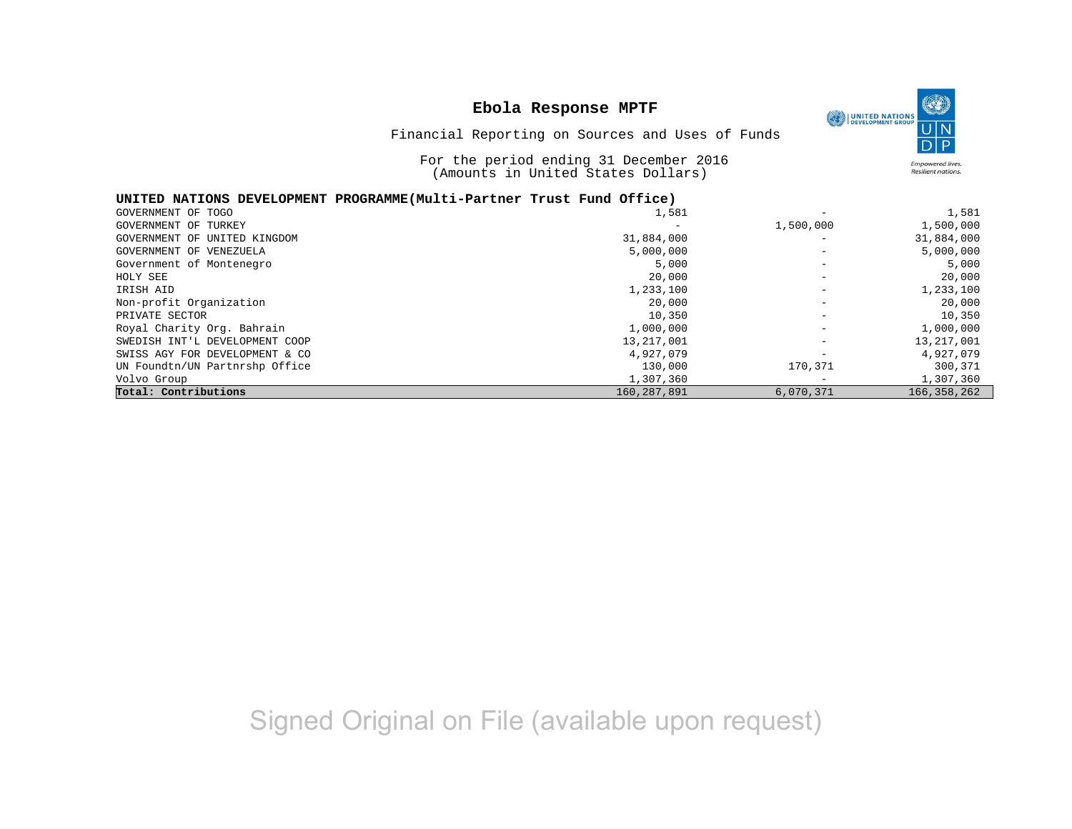# **Ebola Response MPTF** Financial Reporting on Sources and Uses of Funds



For the period ending 31 December 2016 (Amounts in United States Dollars)

### **UNITED NATIONS DEVELOPMENT PROGRAMME(Multi-Partner Trust Fund Office)**

| GOVERNMENT OF TOGO             | 1,581                    | -                        | 1,581         |
|--------------------------------|--------------------------|--------------------------|---------------|
| GOVERNMENT OF TURKEY           | $\overline{\phantom{0}}$ | 1,500,000                | 1,500,000     |
| GOVERNMENT OF UNITED KINGDOM   | 31,884,000               | -                        | 31,884,000    |
| GOVERNMENT OF VENEZUELA        | 5,000,000                |                          | 5,000,000     |
| Government of Montenegro       | 5,000                    |                          | 5,000         |
| HOLY SEE                       | 20,000                   | $\overline{\phantom{0}}$ | 20,000        |
| IRISH AID                      | 1,233,100                |                          | 1,233,100     |
| Non-profit Organization        | 20,000                   | $\overline{\phantom{0}}$ | 20,000        |
| PRIVATE SECTOR                 | 10,350                   | -                        | 10,350        |
| Royal Charity Org. Bahrain     | 1,000,000                | $\overline{\phantom{0}}$ | 1,000,000     |
| SWEDISH INT'L DEVELOPMENT COOP | 13, 217, 001             | -                        | 13, 217, 001  |
| SWISS AGY FOR DEVELOPMENT & CO | 4,927,079                |                          | 4,927,079     |
| UN Foundtn/UN Partnrshp Office | 130,000                  | 170,371                  | 300,371       |
| Volvo Group                    | 1,307,360                |                          | 1,307,360     |
| Total: Contributions           | 160, 287, 891            | 6,070,371                | 166, 358, 262 |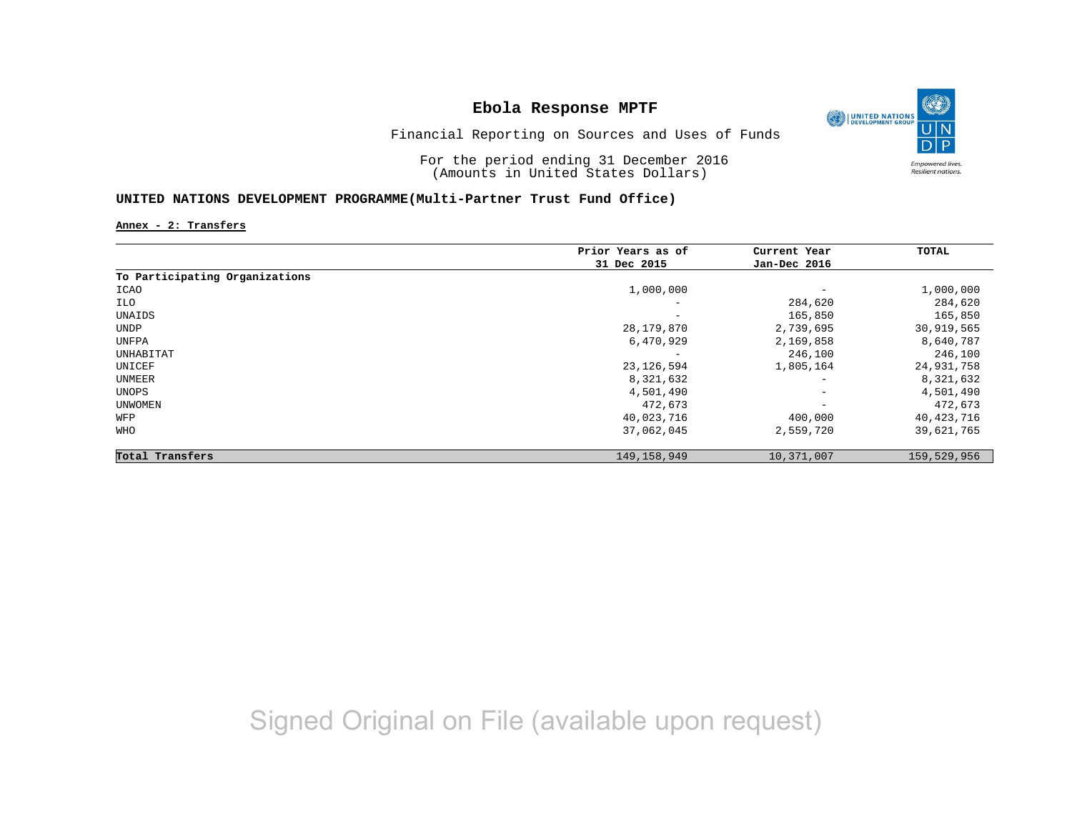

Financial Reporting on Sources and Uses of Funds

For the period ending 31 December 2016 (Amounts in United States Dollars)

### **UNITED NATIONS DEVELOPMENT PROGRAMME(Multi-Partner Trust Fund Office)**

**Annex - 2: Transfers**

|                                | Prior Years as of | Current Year             | TOTAL       |
|--------------------------------|-------------------|--------------------------|-------------|
|                                | 31 Dec 2015       | Jan-Dec 2016             |             |
| To Participating Organizations |                   |                          |             |
| ICAO                           | 1,000,000         | $\overline{\phantom{m}}$ | 1,000,000   |
| ILO                            | -                 | 284,620                  | 284,620     |
| UNAIDS                         | -                 | 165,850                  | 165,850     |
| UNDP                           | 28,179,870        | 2,739,695                | 30,919,565  |
| UNFPA                          | 6,470,929         | 2,169,858                | 8,640,787   |
| UNHABITAT                      | -                 | 246,100                  | 246,100     |
| UNICEF                         | 23, 126, 594      | 1,805,164                | 24,931,758  |
| UNMEER                         | 8,321,632         | $\qquad \qquad -$        | 8,321,632   |
| UNOPS                          | 4,501,490         | $\qquad \qquad -$        | 4,501,490   |
| UNWOMEN                        | 472,673           | $\overline{\phantom{m}}$ | 472,673     |
| WFP                            | 40,023,716        | 400,000                  | 40,423,716  |
| <b>WHO</b>                     | 37,062,045        | 2,559,720                | 39,621,765  |
| Total Transfers                | 149, 158, 949     | 10,371,007               | 159,529,956 |